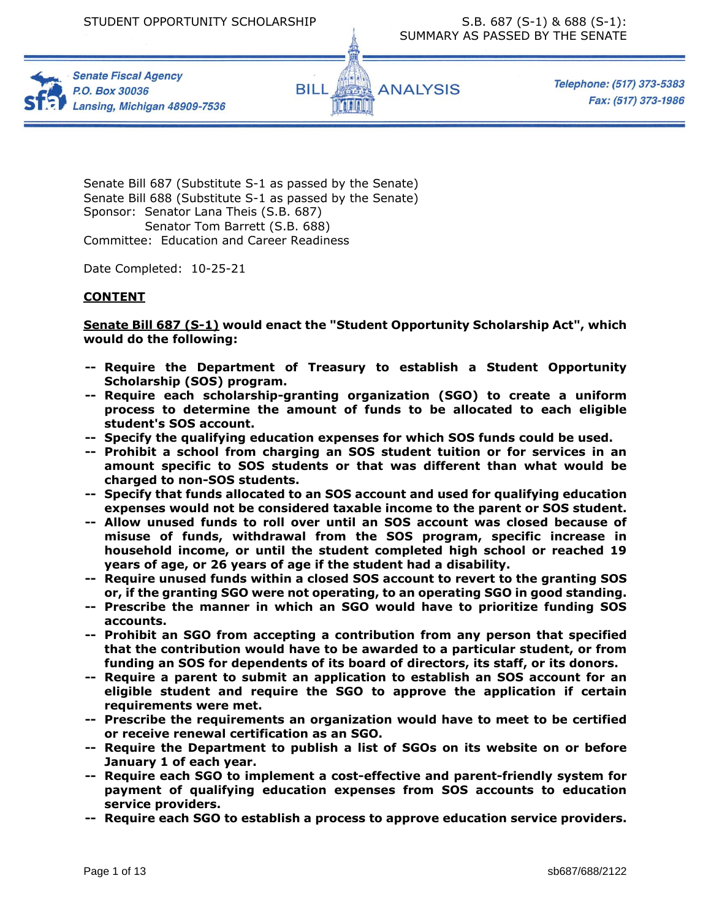



Telephone: (517) 373-5383 Fax: (517) 373-1986

Senate Bill 687 (Substitute S-1 as passed by the Senate) Senate Bill 688 (Substitute S-1 as passed by the Senate) Sponsor: Senator Lana Theis (S.B. 687) Senator Tom Barrett (S.B. 688) Committee: Education and Career Readiness

Date Completed: 10-25-21

# **CONTENT**

**Senate Bill 687 (S-1) would enact the "Student Opportunity Scholarship Act", which would do the following:** 

- **-- Require the Department of Treasury to establish a Student Opportunity Scholarship (SOS) program.**
- **-- Require each scholarship-granting organization (SGO) to create a uniform process to determine the amount of funds to be allocated to each eligible student's SOS account.**
- **-- Specify the qualifying education expenses for which SOS funds could be used.**
- **-- Prohibit a school from charging an SOS student tuition or for services in an amount specific to SOS students or that was different than what would be charged to non-SOS students.**
- **-- Specify that funds allocated to an SOS account and used for qualifying education expenses would not be considered taxable income to the parent or SOS student.**
- **-- Allow unused funds to roll over until an SOS account was closed because of misuse of funds, withdrawal from the SOS program, specific increase in household income, or until the student completed high school or reached 19 years of age, or 26 years of age if the student had a disability.**
- **-- Require unused funds within a closed SOS account to revert to the granting SOS or, if the granting SGO were not operating, to an operating SGO in good standing.**
- **-- Prescribe the manner in which an SGO would have to prioritize funding SOS accounts.**
- **-- Prohibit an SGO from accepting a contribution from any person that specified that the contribution would have to be awarded to a particular student, or from funding an SOS for dependents of its board of directors, its staff, or its donors.**
- **-- Require a parent to submit an application to establish an SOS account for an eligible student and require the SGO to approve the application if certain requirements were met.**
- **-- Prescribe the requirements an organization would have to meet to be certified or receive renewal certification as an SGO.**
- **-- Require the Department to publish a list of SGOs on its website on or before January 1 of each year.**
- **-- Require each SGO to implement a cost-effective and parent-friendly system for payment of qualifying education expenses from SOS accounts to education service providers.**
- **-- Require each SGO to establish a process to approve education service providers.**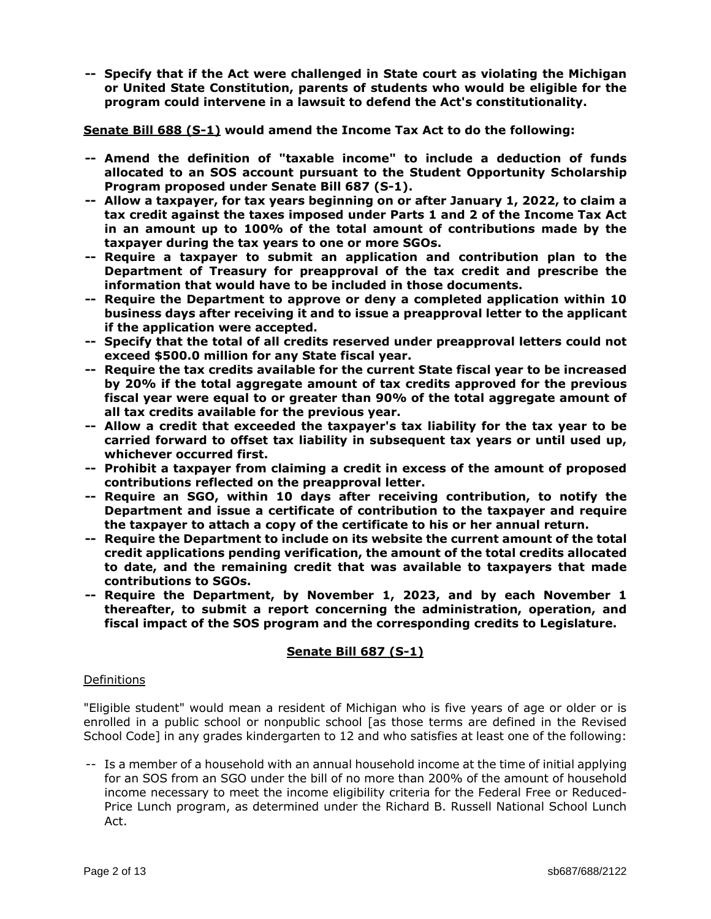**-- Specify that if the Act were challenged in State court as violating the Michigan or United State Constitution, parents of students who would be eligible for the program could intervene in a lawsuit to defend the Act's constitutionality.**

**Senate Bill 688 (S-1) would amend the Income Tax Act to do the following:** 

- **-- Amend the definition of "taxable income" to include a deduction of funds allocated to an SOS account pursuant to the Student Opportunity Scholarship Program proposed under Senate Bill 687 (S-1).**
- **-- Allow a taxpayer, for tax years beginning on or after January 1, 2022, to claim a tax credit against the taxes imposed under Parts 1 and 2 of the Income Tax Act in an amount up to 100% of the total amount of contributions made by the taxpayer during the tax years to one or more SGOs.**
- **-- Require a taxpayer to submit an application and contribution plan to the Department of Treasury for preapproval of the tax credit and prescribe the information that would have to be included in those documents.**
- **-- Require the Department to approve or deny a completed application within 10 business days after receiving it and to issue a preapproval letter to the applicant if the application were accepted.**
- **-- Specify that the total of all credits reserved under preapproval letters could not exceed \$500.0 million for any State fiscal year.**
- **-- Require the tax credits available for the current State fiscal year to be increased by 20% if the total aggregate amount of tax credits approved for the previous fiscal year were equal to or greater than 90% of the total aggregate amount of all tax credits available for the previous year.**
- **-- Allow a credit that exceeded the taxpayer's tax liability for the tax year to be carried forward to offset tax liability in subsequent tax years or until used up, whichever occurred first.**
- **-- Prohibit a taxpayer from claiming a credit in excess of the amount of proposed contributions reflected on the preapproval letter.**
- **-- Require an SGO, within 10 days after receiving contribution, to notify the Department and issue a certificate of contribution to the taxpayer and require the taxpayer to attach a copy of the certificate to his or her annual return.**
- **-- Require the Department to include on its website the current amount of the total credit applications pending verification, the amount of the total credits allocated to date, and the remaining credit that was available to taxpayers that made contributions to SGOs.**
- **-- Require the Department, by November 1, 2023, and by each November 1 thereafter, to submit a report concerning the administration, operation, and fiscal impact of the SOS program and the corresponding credits to Legislature.**

# **Senate Bill 687 (S-1)**

#### Definitions

"Eligible student" would mean a resident of Michigan who is five years of age or older or is enrolled in a public school or nonpublic school [as those terms are defined in the Revised School Code] in any grades kindergarten to 12 and who satisfies at least one of the following:

-- Is a member of a household with an annual household income at the time of initial applying for an SOS from an SGO under the bill of no more than 200% of the amount of household income necessary to meet the income eligibility criteria for the Federal Free or Reduced-Price Lunch program, as determined under the Richard B. Russell National School Lunch Act.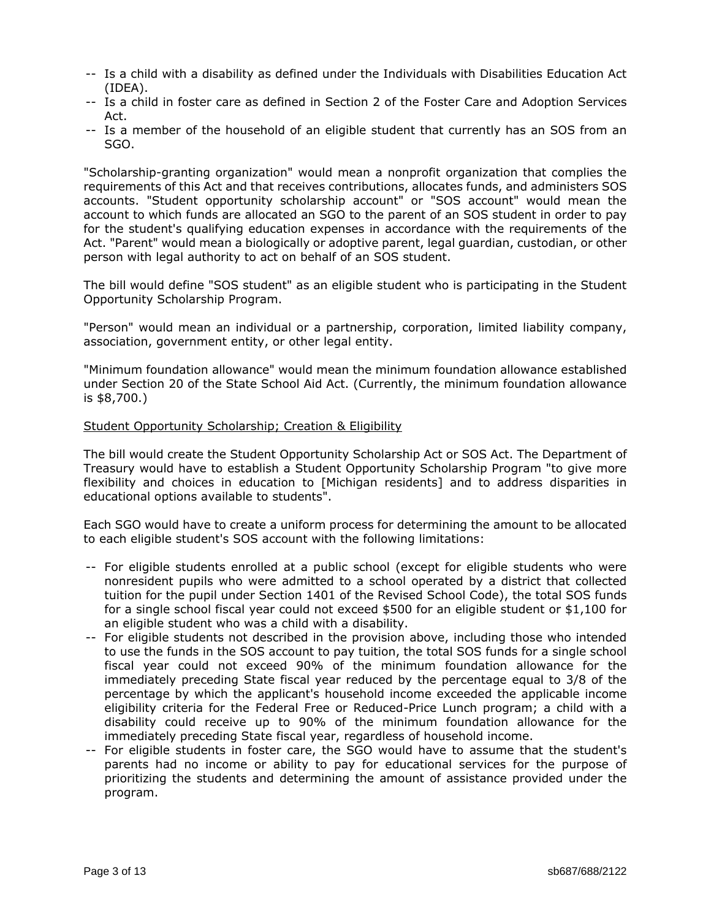- -- Is a child with a disability as defined under the Individuals with Disabilities Education Act (IDEA).
- -- Is a child in foster care as defined in Section 2 of the Foster Care and Adoption Services Act.
- -- Is a member of the household of an eligible student that currently has an SOS from an SGO.

"Scholarship-granting organization" would mean a nonprofit organization that complies the requirements of this Act and that receives contributions, allocates funds, and administers SOS accounts. "Student opportunity scholarship account" or "SOS account" would mean the account to which funds are allocated an SGO to the parent of an SOS student in order to pay for the student's qualifying education expenses in accordance with the requirements of the Act. "Parent" would mean a biologically or adoptive parent, legal guardian, custodian, or other person with legal authority to act on behalf of an SOS student.

The bill would define "SOS student" as an eligible student who is participating in the Student Opportunity Scholarship Program.

"Person" would mean an individual or a partnership, corporation, limited liability company, association, government entity, or other legal entity.

"Minimum foundation allowance" would mean the minimum foundation allowance established under Section 20 of the State School Aid Act. (Currently, the minimum foundation allowance is \$8,700.)

## Student Opportunity Scholarship; Creation & Eligibility

The bill would create the Student Opportunity Scholarship Act or SOS Act. The Department of Treasury would have to establish a Student Opportunity Scholarship Program "to give more flexibility and choices in education to [Michigan residents] and to address disparities in educational options available to students".

Each SGO would have to create a uniform process for determining the amount to be allocated to each eligible student's SOS account with the following limitations:

- -- For eligible students enrolled at a public school (except for eligible students who were nonresident pupils who were admitted to a school operated by a district that collected tuition for the pupil under Section 1401 of the Revised School Code), the total SOS funds for a single school fiscal year could not exceed \$500 for an eligible student or \$1,100 for an eligible student who was a child with a disability.
- -- For eligible students not described in the provision above, including those who intended to use the funds in the SOS account to pay tuition, the total SOS funds for a single school fiscal year could not exceed 90% of the minimum foundation allowance for the immediately preceding State fiscal year reduced by the percentage equal to 3/8 of the percentage by which the applicant's household income exceeded the applicable income eligibility criteria for the Federal Free or Reduced-Price Lunch program; a child with a disability could receive up to 90% of the minimum foundation allowance for the immediately preceding State fiscal year, regardless of household income.
- -- For eligible students in foster care, the SGO would have to assume that the student's parents had no income or ability to pay for educational services for the purpose of prioritizing the students and determining the amount of assistance provided under the program.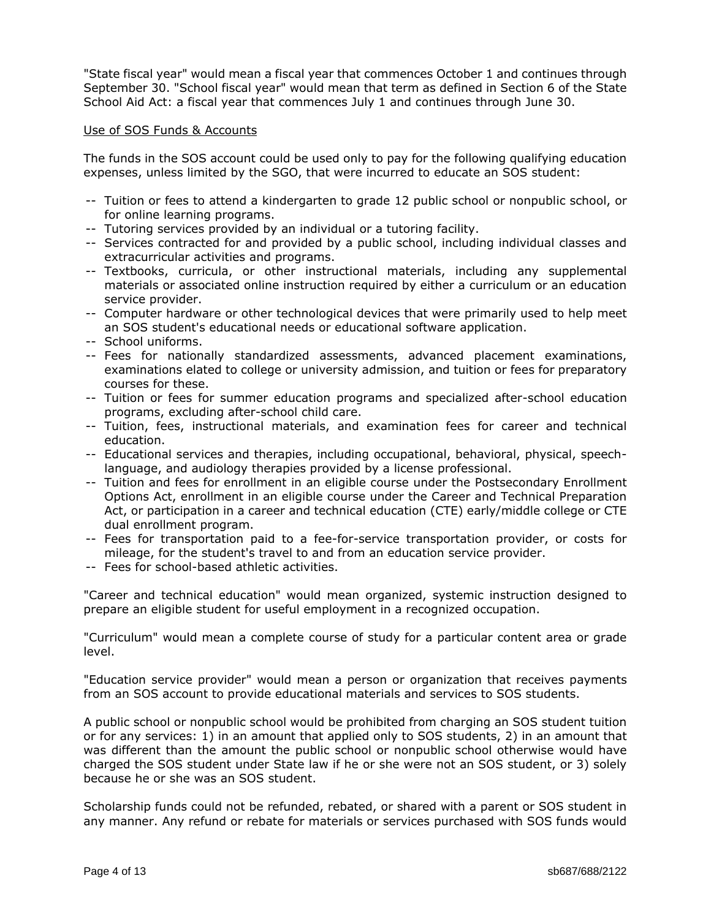"State fiscal year" would mean a fiscal year that commences October 1 and continues through September 30. "School fiscal year" would mean that term as defined in Section 6 of the State School Aid Act: a fiscal year that commences July 1 and continues through June 30.

#### Use of SOS Funds & Accounts

The funds in the SOS account could be used only to pay for the following qualifying education expenses, unless limited by the SGO, that were incurred to educate an SOS student:

- -- Tuition or fees to attend a kindergarten to grade 12 public school or nonpublic school, or for online learning programs.
- -- Tutoring services provided by an individual or a tutoring facility.
- -- Services contracted for and provided by a public school, including individual classes and extracurricular activities and programs.
- -- Textbooks, curricula, or other instructional materials, including any supplemental materials or associated online instruction required by either a curriculum or an education service provider.
- -- Computer hardware or other technological devices that were primarily used to help meet an SOS student's educational needs or educational software application.
- -- School uniforms.
- -- Fees for nationally standardized assessments, advanced placement examinations, examinations elated to college or university admission, and tuition or fees for preparatory courses for these.
- -- Tuition or fees for summer education programs and specialized after-school education programs, excluding after-school child care.
- -- Tuition, fees, instructional materials, and examination fees for career and technical education.
- -- Educational services and therapies, including occupational, behavioral, physical, speechlanguage, and audiology therapies provided by a license professional.
- -- Tuition and fees for enrollment in an eligible course under the Postsecondary Enrollment Options Act, enrollment in an eligible course under the Career and Technical Preparation Act, or participation in a career and technical education (CTE) early/middle college or CTE dual enrollment program.
- -- Fees for transportation paid to a fee-for-service transportation provider, or costs for mileage, for the student's travel to and from an education service provider.
- -- Fees for school-based athletic activities.

"Career and technical education" would mean organized, systemic instruction designed to prepare an eligible student for useful employment in a recognized occupation.

"Curriculum" would mean a complete course of study for a particular content area or grade level.

"Education service provider" would mean a person or organization that receives payments from an SOS account to provide educational materials and services to SOS students.

A public school or nonpublic school would be prohibited from charging an SOS student tuition or for any services: 1) in an amount that applied only to SOS students, 2) in an amount that was different than the amount the public school or nonpublic school otherwise would have charged the SOS student under State law if he or she were not an SOS student, or 3) solely because he or she was an SOS student.

Scholarship funds could not be refunded, rebated, or shared with a parent or SOS student in any manner. Any refund or rebate for materials or services purchased with SOS funds would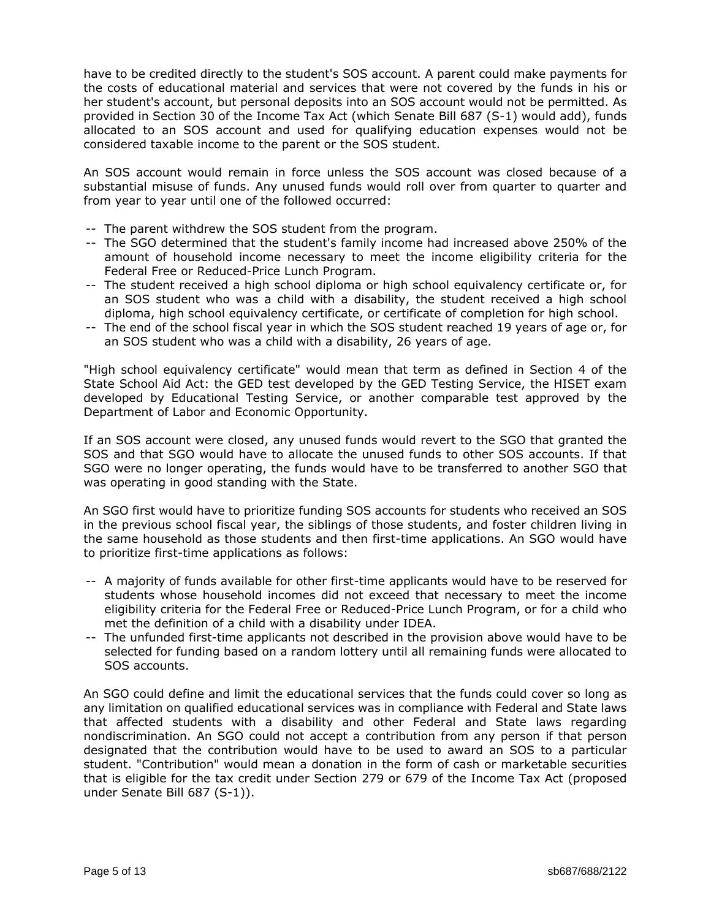have to be credited directly to the student's SOS account. A parent could make payments for the costs of educational material and services that were not covered by the funds in his or her student's account, but personal deposits into an SOS account would not be permitted. As provided in Section 30 of the Income Tax Act (which Senate Bill 687 (S-1) would add), funds allocated to an SOS account and used for qualifying education expenses would not be considered taxable income to the parent or the SOS student.

An SOS account would remain in force unless the SOS account was closed because of a substantial misuse of funds. Any unused funds would roll over from quarter to quarter and from year to year until one of the followed occurred:

- -- The parent withdrew the SOS student from the program.
- -- The SGO determined that the student's family income had increased above 250% of the amount of household income necessary to meet the income eligibility criteria for the Federal Free or Reduced-Price Lunch Program.
- -- The student received a high school diploma or high school equivalency certificate or, for an SOS student who was a child with a disability, the student received a high school diploma, high school equivalency certificate, or certificate of completion for high school.
- -- The end of the school fiscal year in which the SOS student reached 19 years of age or, for an SOS student who was a child with a disability, 26 years of age.

"High school equivalency certificate" would mean that term as defined in Section 4 of the State School Aid Act: the GED test developed by the GED Testing Service, the HISET exam developed by Educational Testing Service, or another comparable test approved by the Department of Labor and Economic Opportunity.

If an SOS account were closed, any unused funds would revert to the SGO that granted the SOS and that SGO would have to allocate the unused funds to other SOS accounts. If that SGO were no longer operating, the funds would have to be transferred to another SGO that was operating in good standing with the State.

An SGO first would have to prioritize funding SOS accounts for students who received an SOS in the previous school fiscal year, the siblings of those students, and foster children living in the same household as those students and then first-time applications. An SGO would have to prioritize first-time applications as follows:

- -- A majority of funds available for other first-time applicants would have to be reserved for students whose household incomes did not exceed that necessary to meet the income eligibility criteria for the Federal Free or Reduced-Price Lunch Program, or for a child who met the definition of a child with a disability under IDEA.
- -- The unfunded first-time applicants not described in the provision above would have to be selected for funding based on a random lottery until all remaining funds were allocated to SOS accounts.

An SGO could define and limit the educational services that the funds could cover so long as any limitation on qualified educational services was in compliance with Federal and State laws that affected students with a disability and other Federal and State laws regarding nondiscrimination. An SGO could not accept a contribution from any person if that person designated that the contribution would have to be used to award an SOS to a particular student. "Contribution" would mean a donation in the form of cash or marketable securities that is eligible for the tax credit under Section 279 or 679 of the Income Tax Act (proposed under Senate Bill 687 (S-1)).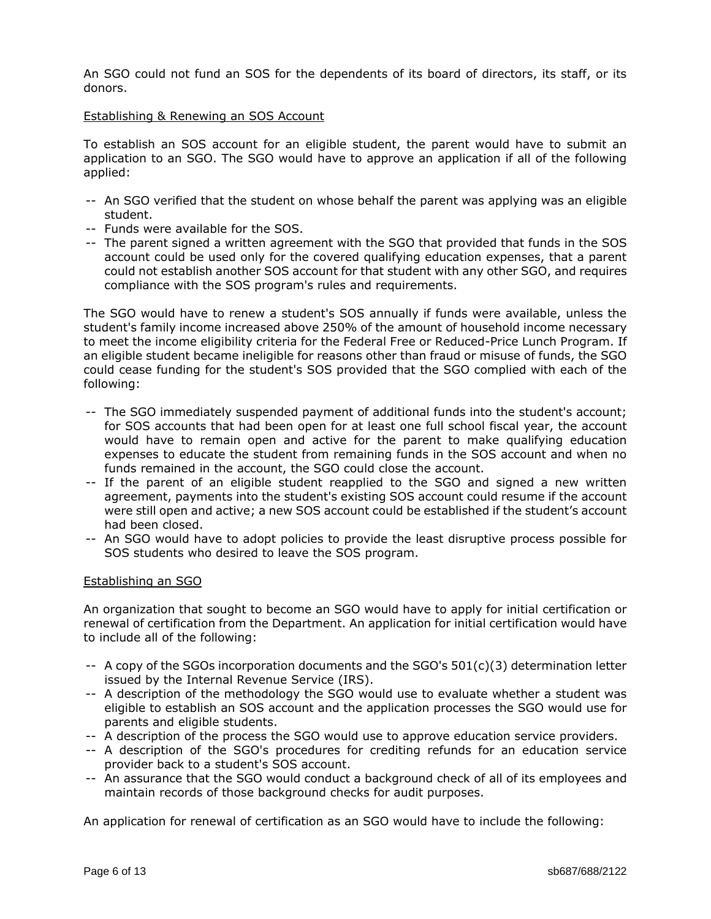An SGO could not fund an SOS for the dependents of its board of directors, its staff, or its donors.

#### Establishing & Renewing an SOS Account

To establish an SOS account for an eligible student, the parent would have to submit an application to an SGO. The SGO would have to approve an application if all of the following applied:

- -- An SGO verified that the student on whose behalf the parent was applying was an eligible student.
- -- Funds were available for the SOS.
- -- The parent signed a written agreement with the SGO that provided that funds in the SOS account could be used only for the covered qualifying education expenses, that a parent could not establish another SOS account for that student with any other SGO, and requires compliance with the SOS program's rules and requirements.

The SGO would have to renew a student's SOS annually if funds were available, unless the student's family income increased above 250% of the amount of household income necessary to meet the income eligibility criteria for the Federal Free or Reduced-Price Lunch Program. If an eligible student became ineligible for reasons other than fraud or misuse of funds, the SGO could cease funding for the student's SOS provided that the SGO complied with each of the following:

- -- The SGO immediately suspended payment of additional funds into the student's account; for SOS accounts that had been open for at least one full school fiscal year, the account would have to remain open and active for the parent to make qualifying education expenses to educate the student from remaining funds in the SOS account and when no funds remained in the account, the SGO could close the account.
- -- If the parent of an eligible student reapplied to the SGO and signed a new written agreement, payments into the student's existing SOS account could resume if the account were still open and active; a new SOS account could be established if the student's account had been closed.
- -- An SGO would have to adopt policies to provide the least disruptive process possible for SOS students who desired to leave the SOS program.

#### Establishing an SGO

An organization that sought to become an SGO would have to apply for initial certification or renewal of certification from the Department. An application for initial certification would have to include all of the following:

- $-$  A copy of the SGOs incorporation documents and the SGO's  $501(c)(3)$  determination letter issued by the Internal Revenue Service (IRS).
- -- A description of the methodology the SGO would use to evaluate whether a student was eligible to establish an SOS account and the application processes the SGO would use for parents and eligible students.
- -- A description of the process the SGO would use to approve education service providers.
- -- A description of the SGO's procedures for crediting refunds for an education service provider back to a student's SOS account.
- -- An assurance that the SGO would conduct a background check of all of its employees and maintain records of those background checks for audit purposes.

An application for renewal of certification as an SGO would have to include the following: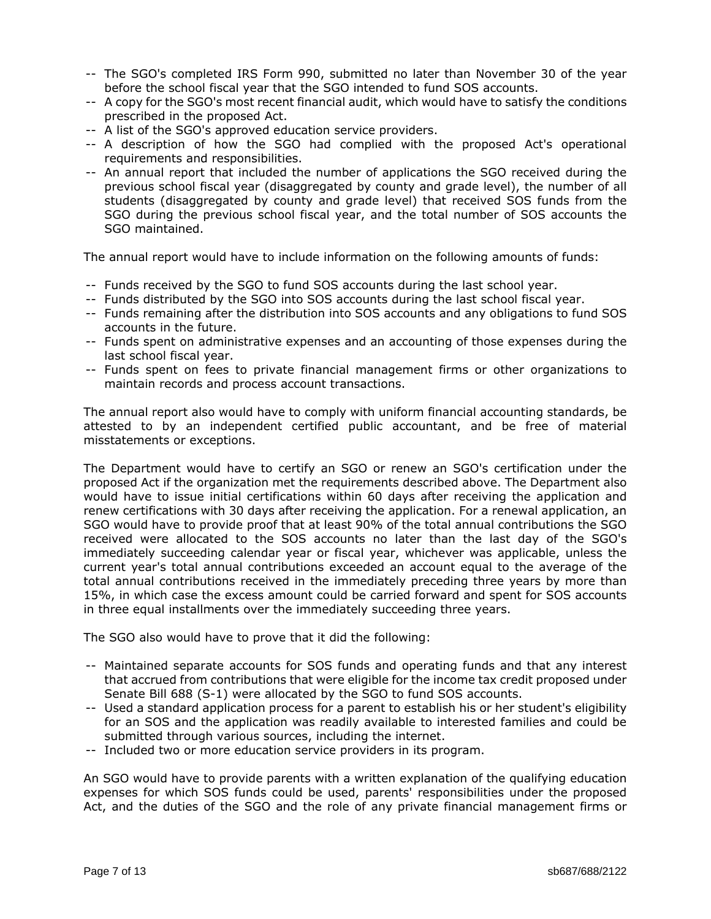- -- The SGO's completed IRS Form 990, submitted no later than November 30 of the year before the school fiscal year that the SGO intended to fund SOS accounts.
- -- A copy for the SGO's most recent financial audit, which would have to satisfy the conditions prescribed in the proposed Act.
- -- A list of the SGO's approved education service providers.
- -- A description of how the SGO had complied with the proposed Act's operational requirements and responsibilities.
- -- An annual report that included the number of applications the SGO received during the previous school fiscal year (disaggregated by county and grade level), the number of all students (disaggregated by county and grade level) that received SOS funds from the SGO during the previous school fiscal year, and the total number of SOS accounts the SGO maintained.

The annual report would have to include information on the following amounts of funds:

- -- Funds received by the SGO to fund SOS accounts during the last school year.
- -- Funds distributed by the SGO into SOS accounts during the last school fiscal year.
- -- Funds remaining after the distribution into SOS accounts and any obligations to fund SOS accounts in the future.
- -- Funds spent on administrative expenses and an accounting of those expenses during the last school fiscal year.
- -- Funds spent on fees to private financial management firms or other organizations to maintain records and process account transactions.

The annual report also would have to comply with uniform financial accounting standards, be attested to by an independent certified public accountant, and be free of material misstatements or exceptions.

The Department would have to certify an SGO or renew an SGO's certification under the proposed Act if the organization met the requirements described above. The Department also would have to issue initial certifications within 60 days after receiving the application and renew certifications with 30 days after receiving the application. For a renewal application, an SGO would have to provide proof that at least 90% of the total annual contributions the SGO received were allocated to the SOS accounts no later than the last day of the SGO's immediately succeeding calendar year or fiscal year, whichever was applicable, unless the current year's total annual contributions exceeded an account equal to the average of the total annual contributions received in the immediately preceding three years by more than 15%, in which case the excess amount could be carried forward and spent for SOS accounts in three equal installments over the immediately succeeding three years.

The SGO also would have to prove that it did the following:

- -- Maintained separate accounts for SOS funds and operating funds and that any interest that accrued from contributions that were eligible for the income tax credit proposed under Senate Bill 688 (S-1) were allocated by the SGO to fund SOS accounts.
- -- Used a standard application process for a parent to establish his or her student's eligibility for an SOS and the application was readily available to interested families and could be submitted through various sources, including the internet.
- -- Included two or more education service providers in its program.

An SGO would have to provide parents with a written explanation of the qualifying education expenses for which SOS funds could be used, parents' responsibilities under the proposed Act, and the duties of the SGO and the role of any private financial management firms or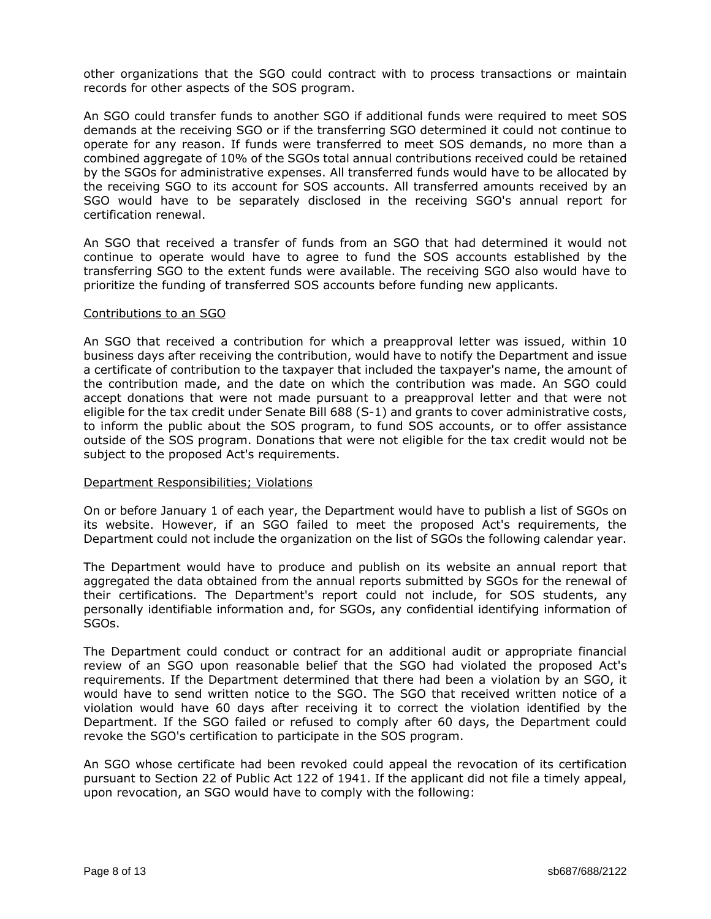other organizations that the SGO could contract with to process transactions or maintain records for other aspects of the SOS program.

An SGO could transfer funds to another SGO if additional funds were required to meet SOS demands at the receiving SGO or if the transferring SGO determined it could not continue to operate for any reason. If funds were transferred to meet SOS demands, no more than a combined aggregate of 10% of the SGOs total annual contributions received could be retained by the SGOs for administrative expenses. All transferred funds would have to be allocated by the receiving SGO to its account for SOS accounts. All transferred amounts received by an SGO would have to be separately disclosed in the receiving SGO's annual report for certification renewal.

An SGO that received a transfer of funds from an SGO that had determined it would not continue to operate would have to agree to fund the SOS accounts established by the transferring SGO to the extent funds were available. The receiving SGO also would have to prioritize the funding of transferred SOS accounts before funding new applicants.

#### Contributions to an SGO

An SGO that received a contribution for which a preapproval letter was issued, within 10 business days after receiving the contribution, would have to notify the Department and issue a certificate of contribution to the taxpayer that included the taxpayer's name, the amount of the contribution made, and the date on which the contribution was made. An SGO could accept donations that were not made pursuant to a preapproval letter and that were not eligible for the tax credit under Senate Bill 688 (S-1) and grants to cover administrative costs, to inform the public about the SOS program, to fund SOS accounts, or to offer assistance outside of the SOS program. Donations that were not eligible for the tax credit would not be subject to the proposed Act's requirements.

# Department Responsibilities; Violations

On or before January 1 of each year, the Department would have to publish a list of SGOs on its website. However, if an SGO failed to meet the proposed Act's requirements, the Department could not include the organization on the list of SGOs the following calendar year.

The Department would have to produce and publish on its website an annual report that aggregated the data obtained from the annual reports submitted by SGOs for the renewal of their certifications. The Department's report could not include, for SOS students, any personally identifiable information and, for SGOs, any confidential identifying information of SGOs.

The Department could conduct or contract for an additional audit or appropriate financial review of an SGO upon reasonable belief that the SGO had violated the proposed Act's requirements. If the Department determined that there had been a violation by an SGO, it would have to send written notice to the SGO. The SGO that received written notice of a violation would have 60 days after receiving it to correct the violation identified by the Department. If the SGO failed or refused to comply after 60 days, the Department could revoke the SGO's certification to participate in the SOS program.

An SGO whose certificate had been revoked could appeal the revocation of its certification pursuant to Section 22 of Public Act 122 of 1941. If the applicant did not file a timely appeal, upon revocation, an SGO would have to comply with the following: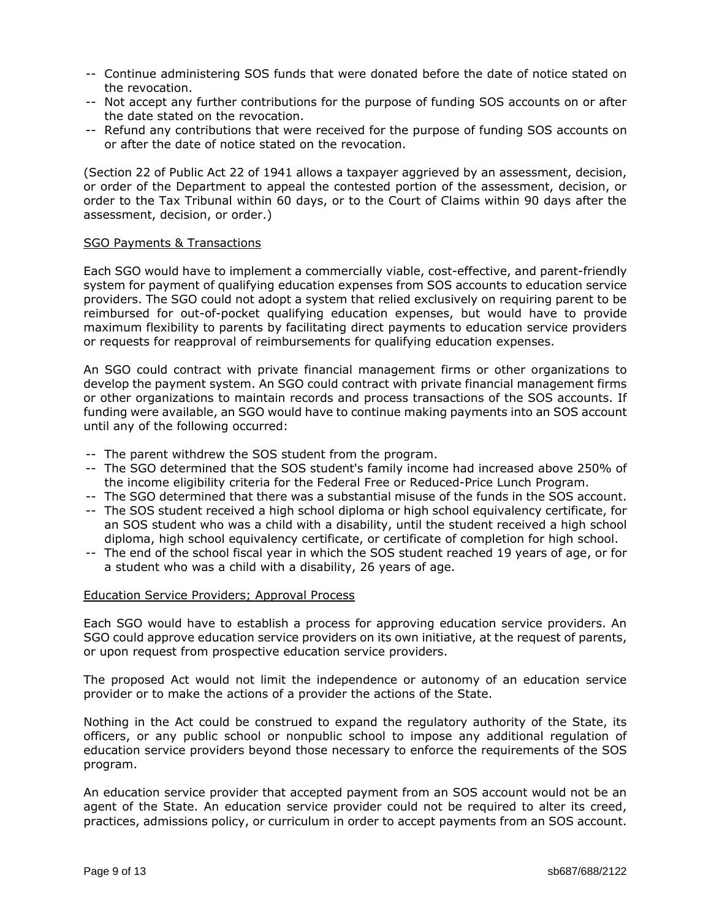- -- Continue administering SOS funds that were donated before the date of notice stated on the revocation.
- -- Not accept any further contributions for the purpose of funding SOS accounts on or after the date stated on the revocation.
- -- Refund any contributions that were received for the purpose of funding SOS accounts on or after the date of notice stated on the revocation.

(Section 22 of Public Act 22 of 1941 allows a taxpayer aggrieved by an assessment, decision, or order of the Department to appeal the contested portion of the assessment, decision, or order to the Tax Tribunal within 60 days, or to the Court of Claims within 90 days after the assessment, decision, or order.)

## SGO Payments & Transactions

Each SGO would have to implement a commercially viable, cost-effective, and parent-friendly system for payment of qualifying education expenses from SOS accounts to education service providers. The SGO could not adopt a system that relied exclusively on requiring parent to be reimbursed for out-of-pocket qualifying education expenses, but would have to provide maximum flexibility to parents by facilitating direct payments to education service providers or requests for reapproval of reimbursements for qualifying education expenses.

An SGO could contract with private financial management firms or other organizations to develop the payment system. An SGO could contract with private financial management firms or other organizations to maintain records and process transactions of the SOS accounts. If funding were available, an SGO would have to continue making payments into an SOS account until any of the following occurred:

- -- The parent withdrew the SOS student from the program.
- -- The SGO determined that the SOS student's family income had increased above 250% of the income eligibility criteria for the Federal Free or Reduced-Price Lunch Program.
- -- The SGO determined that there was a substantial misuse of the funds in the SOS account.
- -- The SOS student received a high school diploma or high school equivalency certificate, for an SOS student who was a child with a disability, until the student received a high school diploma, high school equivalency certificate, or certificate of completion for high school.
- -- The end of the school fiscal year in which the SOS student reached 19 years of age, or for a student who was a child with a disability, 26 years of age.

## Education Service Providers; Approval Process

Each SGO would have to establish a process for approving education service providers. An SGO could approve education service providers on its own initiative, at the request of parents, or upon request from prospective education service providers.

The proposed Act would not limit the independence or autonomy of an education service provider or to make the actions of a provider the actions of the State.

Nothing in the Act could be construed to expand the regulatory authority of the State, its officers, or any public school or nonpublic school to impose any additional regulation of education service providers beyond those necessary to enforce the requirements of the SOS program.

An education service provider that accepted payment from an SOS account would not be an agent of the State. An education service provider could not be required to alter its creed, practices, admissions policy, or curriculum in order to accept payments from an SOS account.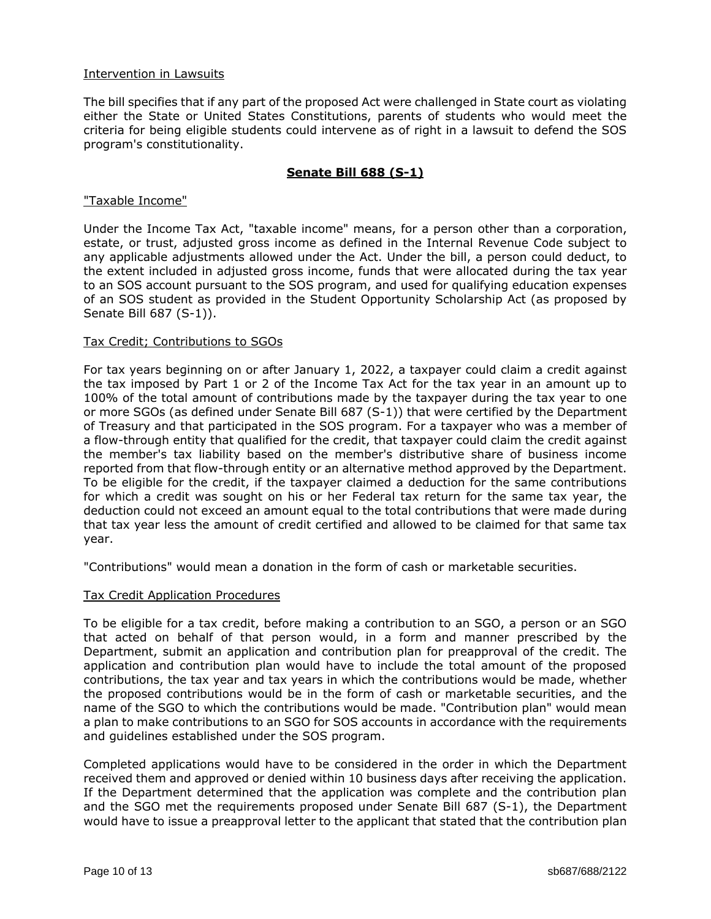# Intervention in Lawsuits

The bill specifies that if any part of the proposed Act were challenged in State court as violating either the State or United States Constitutions, parents of students who would meet the criteria for being eligible students could intervene as of right in a lawsuit to defend the SOS program's constitutionality.

# **Senate Bill 688 (S-1)**

#### "Taxable Income"

Under the Income Tax Act, "taxable income" means, for a person other than a corporation, estate, or trust, adjusted gross income as defined in the Internal Revenue Code subject to any applicable adjustments allowed under the Act. Under the bill, a person could deduct, to the extent included in adjusted gross income, funds that were allocated during the tax year to an SOS account pursuant to the SOS program, and used for qualifying education expenses of an SOS student as provided in the Student Opportunity Scholarship Act (as proposed by Senate Bill 687 (S-1)).

## Tax Credit; Contributions to SGOs

For tax years beginning on or after January 1, 2022, a taxpayer could claim a credit against the tax imposed by Part 1 or 2 of the Income Tax Act for the tax year in an amount up to 100% of the total amount of contributions made by the taxpayer during the tax year to one or more SGOs (as defined under Senate Bill 687 (S-1)) that were certified by the Department of Treasury and that participated in the SOS program. For a taxpayer who was a member of a flow-through entity that qualified for the credit, that taxpayer could claim the credit against the member's tax liability based on the member's distributive share of business income reported from that flow-through entity or an alternative method approved by the Department. To be eligible for the credit, if the taxpayer claimed a deduction for the same contributions for which a credit was sought on his or her Federal tax return for the same tax year, the deduction could not exceed an amount equal to the total contributions that were made during that tax year less the amount of credit certified and allowed to be claimed for that same tax year.

"Contributions" would mean a donation in the form of cash or marketable securities.

#### Tax Credit Application Procedures

To be eligible for a tax credit, before making a contribution to an SGO, a person or an SGO that acted on behalf of that person would, in a form and manner prescribed by the Department, submit an application and contribution plan for preapproval of the credit. The application and contribution plan would have to include the total amount of the proposed contributions, the tax year and tax years in which the contributions would be made, whether the proposed contributions would be in the form of cash or marketable securities, and the name of the SGO to which the contributions would be made. "Contribution plan" would mean a plan to make contributions to an SGO for SOS accounts in accordance with the requirements and guidelines established under the SOS program.

Completed applications would have to be considered in the order in which the Department received them and approved or denied within 10 business days after receiving the application. If the Department determined that the application was complete and the contribution plan and the SGO met the requirements proposed under Senate Bill 687 (S-1), the Department would have to issue a preapproval letter to the applicant that stated that the contribution plan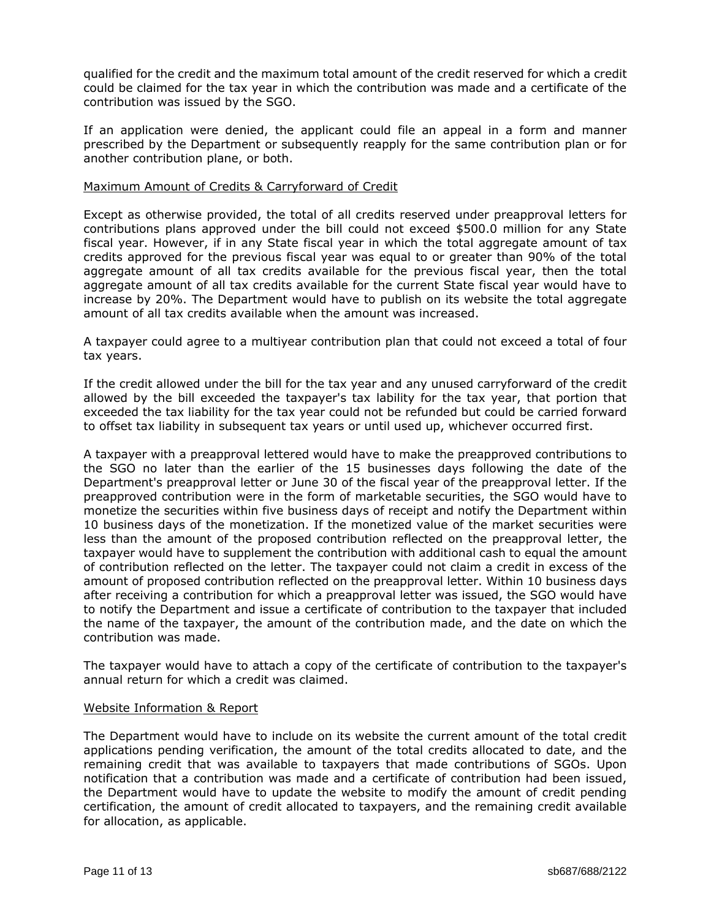qualified for the credit and the maximum total amount of the credit reserved for which a credit could be claimed for the tax year in which the contribution was made and a certificate of the contribution was issued by the SGO.

If an application were denied, the applicant could file an appeal in a form and manner prescribed by the Department or subsequently reapply for the same contribution plan or for another contribution plane, or both.

# Maximum Amount of Credits & Carryforward of Credit

Except as otherwise provided, the total of all credits reserved under preapproval letters for contributions plans approved under the bill could not exceed \$500.0 million for any State fiscal year. However, if in any State fiscal year in which the total aggregate amount of tax credits approved for the previous fiscal year was equal to or greater than 90% of the total aggregate amount of all tax credits available for the previous fiscal year, then the total aggregate amount of all tax credits available for the current State fiscal year would have to increase by 20%. The Department would have to publish on its website the total aggregate amount of all tax credits available when the amount was increased.

A taxpayer could agree to a multiyear contribution plan that could not exceed a total of four tax years.

If the credit allowed under the bill for the tax year and any unused carryforward of the credit allowed by the bill exceeded the taxpayer's tax lability for the tax year, that portion that exceeded the tax liability for the tax year could not be refunded but could be carried forward to offset tax liability in subsequent tax years or until used up, whichever occurred first.

A taxpayer with a preapproval lettered would have to make the preapproved contributions to the SGO no later than the earlier of the 15 businesses days following the date of the Department's preapproval letter or June 30 of the fiscal year of the preapproval letter. If the preapproved contribution were in the form of marketable securities, the SGO would have to monetize the securities within five business days of receipt and notify the Department within 10 business days of the monetization. If the monetized value of the market securities were less than the amount of the proposed contribution reflected on the preapproval letter, the taxpayer would have to supplement the contribution with additional cash to equal the amount of contribution reflected on the letter. The taxpayer could not claim a credit in excess of the amount of proposed contribution reflected on the preapproval letter. Within 10 business days after receiving a contribution for which a preapproval letter was issued, the SGO would have to notify the Department and issue a certificate of contribution to the taxpayer that included the name of the taxpayer, the amount of the contribution made, and the date on which the contribution was made.

The taxpayer would have to attach a copy of the certificate of contribution to the taxpayer's annual return for which a credit was claimed.

## Website Information & Report

The Department would have to include on its website the current amount of the total credit applications pending verification, the amount of the total credits allocated to date, and the remaining credit that was available to taxpayers that made contributions of SGOs. Upon notification that a contribution was made and a certificate of contribution had been issued, the Department would have to update the website to modify the amount of credit pending certification, the amount of credit allocated to taxpayers, and the remaining credit available for allocation, as applicable.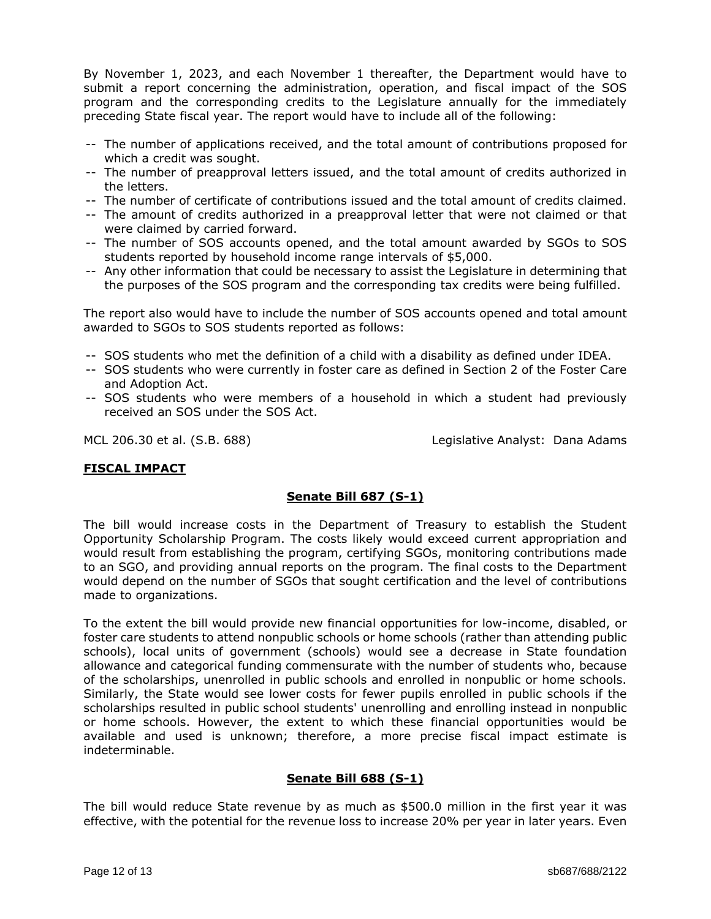By November 1, 2023, and each November 1 thereafter, the Department would have to submit a report concerning the administration, operation, and fiscal impact of the SOS program and the corresponding credits to the Legislature annually for the immediately preceding State fiscal year. The report would have to include all of the following:

- -- The number of applications received, and the total amount of contributions proposed for which a credit was sought.
- -- The number of preapproval letters issued, and the total amount of credits authorized in the letters.
- -- The number of certificate of contributions issued and the total amount of credits claimed.
- -- The amount of credits authorized in a preapproval letter that were not claimed or that were claimed by carried forward.
- -- The number of SOS accounts opened, and the total amount awarded by SGOs to SOS students reported by household income range intervals of \$5,000.
- -- Any other information that could be necessary to assist the Legislature in determining that the purposes of the SOS program and the corresponding tax credits were being fulfilled.

The report also would have to include the number of SOS accounts opened and total amount awarded to SGOs to SOS students reported as follows:

- -- SOS students who met the definition of a child with a disability as defined under IDEA.
- -- SOS students who were currently in foster care as defined in Section 2 of the Foster Care and Adoption Act.
- -- SOS students who were members of a household in which a student had previously received an SOS under the SOS Act.

MCL 206.30 et al. (S.B. 688) Legislative Analyst: Dana Adams

# **FISCAL IMPACT**

# **Senate Bill 687 (S-1)**

The bill would increase costs in the Department of Treasury to establish the Student Opportunity Scholarship Program. The costs likely would exceed current appropriation and would result from establishing the program, certifying SGOs, monitoring contributions made to an SGO, and providing annual reports on the program. The final costs to the Department would depend on the number of SGOs that sought certification and the level of contributions made to organizations.

To the extent the bill would provide new financial opportunities for low-income, disabled, or foster care students to attend nonpublic schools or home schools (rather than attending public schools), local units of government (schools) would see a decrease in State foundation allowance and categorical funding commensurate with the number of students who, because of the scholarships, unenrolled in public schools and enrolled in nonpublic or home schools. Similarly, the State would see lower costs for fewer pupils enrolled in public schools if the scholarships resulted in public school students' unenrolling and enrolling instead in nonpublic or home schools. However, the extent to which these financial opportunities would be available and used is unknown; therefore, a more precise fiscal impact estimate is indeterminable.

# **Senate Bill 688 (S-1)**

The bill would reduce State revenue by as much as \$500.0 million in the first year it was effective, with the potential for the revenue loss to increase 20% per year in later years. Even